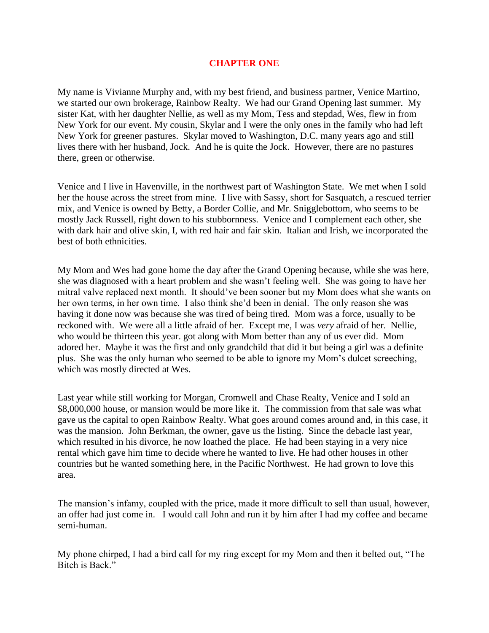## **CHAPTER ONE**

My name is Vivianne Murphy and, with my best friend, and business partner, Venice Martino, we started our own brokerage, Rainbow Realty. We had our Grand Opening last summer. My sister Kat, with her daughter Nellie, as well as my Mom, Tess and stepdad, Wes, flew in from New York for our event. My cousin, Skylar and I were the only ones in the family who had left New York for greener pastures. Skylar moved to Washington, D.C. many years ago and still lives there with her husband, Jock. And he is quite the Jock. However, there are no pastures there, green or otherwise.

Venice and I live in Havenville, in the northwest part of Washington State. We met when I sold her the house across the street from mine. I live with Sassy, short for Sasquatch, a rescued terrier mix, and Venice is owned by Betty, a Border Collie, and Mr. Snigglebottom, who seems to be mostly Jack Russell, right down to his stubbornness. Venice and I complement each other, she with dark hair and olive skin, I, with red hair and fair skin. Italian and Irish, we incorporated the best of both ethnicities.

My Mom and Wes had gone home the day after the Grand Opening because, while she was here, she was diagnosed with a heart problem and she wasn't feeling well. She was going to have her mitral valve replaced next month. It should've been sooner but my Mom does what she wants on her own terms, in her own time. I also think she'd been in denial. The only reason she was having it done now was because she was tired of being tired. Mom was a force, usually to be reckoned with. We were all a little afraid of her. Except me, I was *very* afraid of her. Nellie, who would be thirteen this year. got along with Mom better than any of us ever did. Mom adored her. Maybe it was the first and only grandchild that did it but being a girl was a definite plus. She was the only human who seemed to be able to ignore my Mom's dulcet screeching, which was mostly directed at Wes.

Last year while still working for Morgan, Cromwell and Chase Realty, Venice and I sold an \$8,000,000 house, or mansion would be more like it. The commission from that sale was what gave us the capital to open Rainbow Realty. What goes around comes around and, in this case, it was the mansion. John Berkman, the owner, gave us the listing. Since the debacle last year, which resulted in his divorce, he now loathed the place. He had been staying in a very nice rental which gave him time to decide where he wanted to live. He had other houses in other countries but he wanted something here, in the Pacific Northwest. He had grown to love this area.

The mansion's infamy, coupled with the price, made it more difficult to sell than usual, however, an offer had just come in. I would call John and run it by him after I had my coffee and became semi-human.

My phone chirped, I had a bird call for my ring except for my Mom and then it belted out, "The Bitch is Back."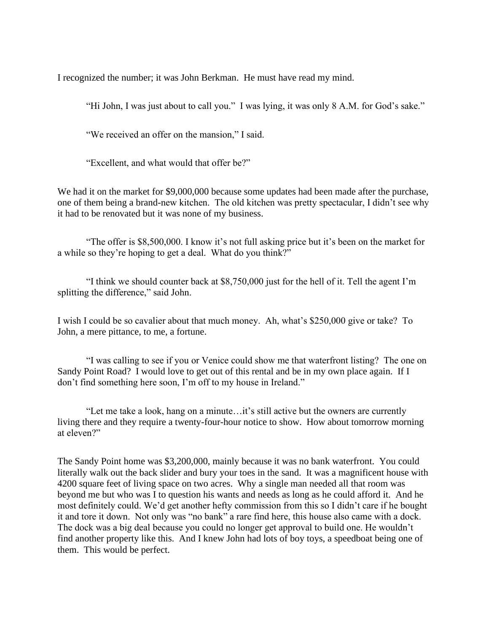I recognized the number; it was John Berkman. He must have read my mind.

"Hi John, I was just about to call you." I was lying, it was only 8 A.M. for God's sake."

"We received an offer on the mansion," I said.

"Excellent, and what would that offer be?"

We had it on the market for \$9,000,000 because some updates had been made after the purchase, one of them being a brand-new kitchen. The old kitchen was pretty spectacular, I didn't see why it had to be renovated but it was none of my business.

"The offer is \$8,500,000. I know it's not full asking price but it's been on the market for a while so they're hoping to get a deal. What do you think?"

"I think we should counter back at \$8,750,000 just for the hell of it. Tell the agent I'm splitting the difference," said John.

I wish I could be so cavalier about that much money. Ah, what's \$250,000 give or take? To John, a mere pittance, to me, a fortune.

"I was calling to see if you or Venice could show me that waterfront listing? The one on Sandy Point Road? I would love to get out of this rental and be in my own place again. If I don't find something here soon, I'm off to my house in Ireland."

"Let me take a look, hang on a minute…it's still active but the owners are currently living there and they require a twenty-four-hour notice to show. How about tomorrow morning at eleven?"

The Sandy Point home was \$3,200,000, mainly because it was no bank waterfront. You could literally walk out the back slider and bury your toes in the sand. It was a magnificent house with 4200 square feet of living space on two acres. Why a single man needed all that room was beyond me but who was I to question his wants and needs as long as he could afford it. And he most definitely could. We'd get another hefty commission from this so I didn't care if he bought it and tore it down. Not only was "no bank" a rare find here, this house also came with a dock. The dock was a big deal because you could no longer get approval to build one. He wouldn't find another property like this. And I knew John had lots of boy toys, a speedboat being one of them. This would be perfect.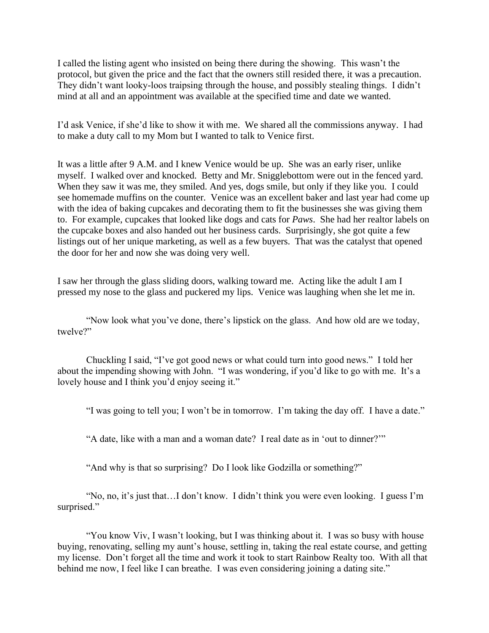I called the listing agent who insisted on being there during the showing. This wasn't the protocol, but given the price and the fact that the owners still resided there, it was a precaution. They didn't want looky-loos traipsing through the house, and possibly stealing things. I didn't mind at all and an appointment was available at the specified time and date we wanted.

I'd ask Venice, if she'd like to show it with me. We shared all the commissions anyway. I had to make a duty call to my Mom but I wanted to talk to Venice first.

It was a little after 9 A.M. and I knew Venice would be up. She was an early riser, unlike myself. I walked over and knocked. Betty and Mr. Snigglebottom were out in the fenced yard. When they saw it was me, they smiled. And yes, dogs smile, but only if they like you. I could see homemade muffins on the counter. Venice was an excellent baker and last year had come up with the idea of baking cupcakes and decorating them to fit the businesses she was giving them to. For example, cupcakes that looked like dogs and cats for *Paws*. She had her realtor labels on the cupcake boxes and also handed out her business cards. Surprisingly, she got quite a few listings out of her unique marketing, as well as a few buyers. That was the catalyst that opened the door for her and now she was doing very well.

I saw her through the glass sliding doors, walking toward me. Acting like the adult I am I pressed my nose to the glass and puckered my lips. Venice was laughing when she let me in.

"Now look what you've done, there's lipstick on the glass. And how old are we today, twelve?"

Chuckling I said, "I've got good news or what could turn into good news." I told her about the impending showing with John. "I was wondering, if you'd like to go with me. It's a lovely house and I think you'd enjoy seeing it."

"I was going to tell you; I won't be in tomorrow. I'm taking the day off. I have a date."

"A date, like with a man and a woman date? I real date as in 'out to dinner?'"

"And why is that so surprising? Do I look like Godzilla or something?"

"No, no, it's just that…I don't know. I didn't think you were even looking. I guess I'm surprised."

"You know Viv, I wasn't looking, but I was thinking about it. I was so busy with house buying, renovating, selling my aunt's house, settling in, taking the real estate course, and getting my license. Don't forget all the time and work it took to start Rainbow Realty too. With all that behind me now, I feel like I can breathe. I was even considering joining a dating site."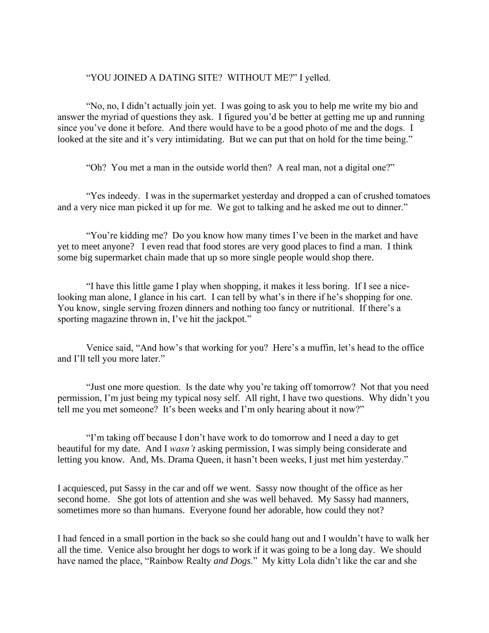## "YOU JOINED A DATING SITE? WITHOUT ME?" I yelled.

"No, no, I didn't actually join yet. I was going to ask you to help me write my bio and answer the myriad of questions they ask. I figured you'd be better at getting me up and running since you've done it before. And there would have to be a good photo of me and the dogs. I looked at the site and it's very intimidating. But we can put that on hold for the time being."

"Oh? You met a man in the outside world then? A real man, not a digital one?"

"Yes indeedy. I was in the supermarket yesterday and dropped a can of crushed tomatoes and a very nice man picked it up for me. We got to talking and he asked me out to dinner."

"You're kidding me? Do you know how many times I've been in the market and have yet to meet anyone? I even read that food stores are very good places to find a man. I think some big supermarket chain made that up so more single people would shop there.

"I have this little game I play when shopping, it makes it less boring. If I see a nicelooking man alone, I glance in his cart. I can tell by what's in there if he's shopping for one. You know, single serving frozen dinners and nothing too fancy or nutritional. If there's a sporting magazine thrown in, I've hit the jackpot."

Venice said, "And how's that working for you? Here's a muffin, let's head to the office and I'll tell you more later."

"Just one more question. Is the date why you're taking off tomorrow? Not that you need permission, I'm just being my typical nosy self. All right, I have two questions. Why didn't you tell me you met someone? It's been weeks and I'm only hearing about it now?"

"I'm taking off because I don't have work to do tomorrow and I need a day to get beautiful for my date. And I *wasn't* asking permission, I was simply being considerate and letting you know. And, Ms. Drama Queen, it hasn't been weeks, I just met him yesterday."

I acquiesced, put Sassy in the car and off we went. Sassy now thought of the office as her second home. She got lots of attention and she was well behaved. My Sassy had manners, sometimes more so than humans. Everyone found her adorable, how could they not?

I had fenced in a small portion in the back so she could hang out and I wouldn't have to walk her all the time. Venice also brought her dogs to work if it was going to be a long day. We should have named the place, "Rainbow Realty *and Dogs*." My kitty Lola didn't like the car and she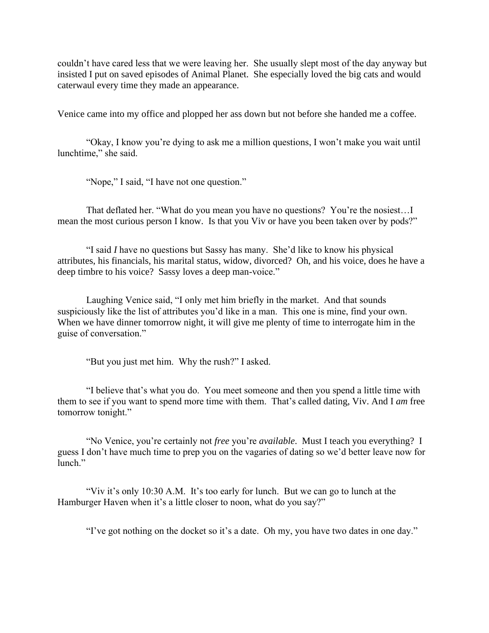couldn't have cared less that we were leaving her. She usually slept most of the day anyway but insisted I put on saved episodes of Animal Planet. She especially loved the big cats and would caterwaul every time they made an appearance.

Venice came into my office and plopped her ass down but not before she handed me a coffee.

"Okay, I know you're dying to ask me a million questions, I won't make you wait until lunchtime," she said.

"Nope," I said, "I have not one question."

That deflated her. "What do you mean you have no questions? You're the nosiest…I mean the most curious person I know. Is that you Viv or have you been taken over by pods?"

"I said *I* have no questions but Sassy has many. She'd like to know his physical attributes, his financials, his marital status, widow, divorced? Oh, and his voice, does he have a deep timbre to his voice? Sassy loves a deep man-voice."

Laughing Venice said, "I only met him briefly in the market. And that sounds suspiciously like the list of attributes you'd like in a man. This one is mine, find your own. When we have dinner tomorrow night, it will give me plenty of time to interrogate him in the guise of conversation."

"But you just met him. Why the rush?" I asked.

"I believe that's what you do. You meet someone and then you spend a little time with them to see if you want to spend more time with them. That's called dating, Viv. And I *am* free tomorrow tonight."

"No Venice, you're certainly not *free* you're *available*. Must I teach you everything? I guess I don't have much time to prep you on the vagaries of dating so we'd better leave now for lunch."

"Viv it's only 10:30 A.M. It's too early for lunch. But we can go to lunch at the Hamburger Haven when it's a little closer to noon, what do you say?"

"I've got nothing on the docket so it's a date. Oh my, you have two dates in one day."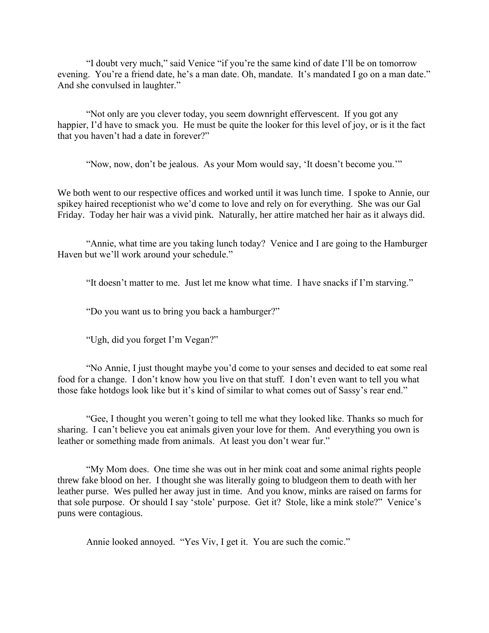"I doubt very much," said Venice "if you're the same kind of date I'll be on tomorrow evening. You're a friend date, he's a man date. Oh, mandate. It's mandated I go on a man date." And she convulsed in laughter."

"Not only are you clever today, you seem downright effervescent. If you got any happier, I'd have to smack you. He must be quite the looker for this level of joy, or is it the fact that you haven't had a date in forever?"

"Now, now, don't be jealous. As your Mom would say, 'It doesn't become you.'"

We both went to our respective offices and worked until it was lunch time. I spoke to Annie, our spikey haired receptionist who we'd come to love and rely on for everything. She was our Gal Friday. Today her hair was a vivid pink. Naturally, her attire matched her hair as it always did.

"Annie, what time are you taking lunch today? Venice and I are going to the Hamburger Haven but we'll work around your schedule."

"It doesn't matter to me. Just let me know what time. I have snacks if I'm starving."

"Do you want us to bring you back a hamburger?"

"Ugh, did you forget I'm Vegan?"

"No Annie, I just thought maybe you'd come to your senses and decided to eat some real food for a change. I don't know how you live on that stuff. I don't even want to tell you what those fake hotdogs look like but it's kind of similar to what comes out of Sassy's rear end."

"Gee, I thought you weren't going to tell me what they looked like. Thanks so much for sharing. I can't believe you eat animals given your love for them. And everything you own is leather or something made from animals. At least you don't wear fur."

"My Mom does. One time she was out in her mink coat and some animal rights people threw fake blood on her. I thought she was literally going to bludgeon them to death with her leather purse. Wes pulled her away just in time. And you know, minks are raised on farms for that sole purpose. Or should I say 'stole' purpose. Get it? Stole, like a mink stole?" Venice's puns were contagious.

Annie looked annoyed. "Yes Viv, I get it. You are such the comic."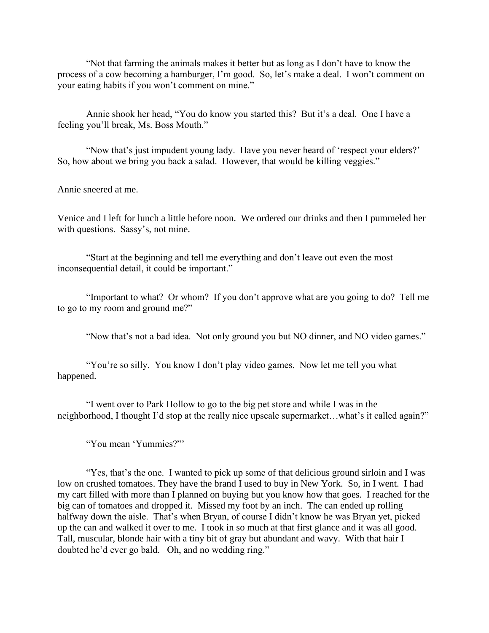"Not that farming the animals makes it better but as long as I don't have to know the process of a cow becoming a hamburger, I'm good. So, let's make a deal. I won't comment on your eating habits if you won't comment on mine."

Annie shook her head, "You do know you started this? But it's a deal. One I have a feeling you'll break, Ms. Boss Mouth."

"Now that's just impudent young lady. Have you never heard of 'respect your elders?' So, how about we bring you back a salad. However, that would be killing veggies."

Annie sneered at me.

Venice and I left for lunch a little before noon. We ordered our drinks and then I pummeled her with questions. Sassy's, not mine.

"Start at the beginning and tell me everything and don't leave out even the most inconsequential detail, it could be important."

"Important to what? Or whom? If you don't approve what are you going to do? Tell me to go to my room and ground me?"

"Now that's not a bad idea. Not only ground you but NO dinner, and NO video games."

"You're so silly. You know I don't play video games. Now let me tell you what happened.

"I went over to Park Hollow to go to the big pet store and while I was in the neighborhood, I thought I'd stop at the really nice upscale supermarket…what's it called again?"

"You mean 'Yummies?"'

"Yes, that's the one. I wanted to pick up some of that delicious ground sirloin and I was low on crushed tomatoes. They have the brand I used to buy in New York. So, in I went. I had my cart filled with more than I planned on buying but you know how that goes. I reached for the big can of tomatoes and dropped it. Missed my foot by an inch. The can ended up rolling halfway down the aisle. That's when Bryan, of course I didn't know he was Bryan yet, picked up the can and walked it over to me. I took in so much at that first glance and it was all good. Tall, muscular, blonde hair with a tiny bit of gray but abundant and wavy. With that hair I doubted he'd ever go bald. Oh, and no wedding ring."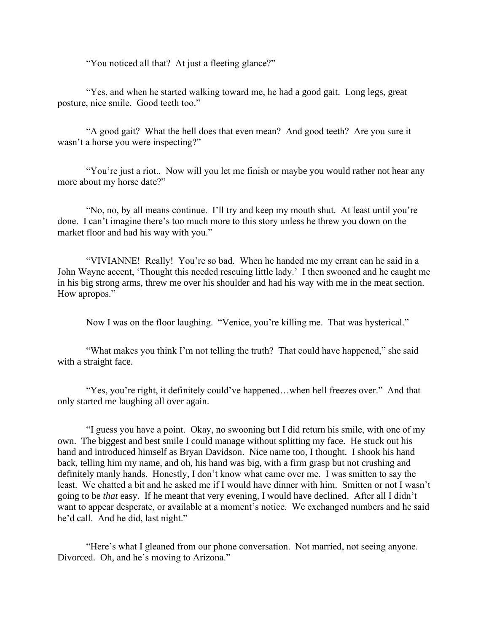"You noticed all that? At just a fleeting glance?"

"Yes, and when he started walking toward me, he had a good gait. Long legs, great posture, nice smile. Good teeth too."

"A good gait? What the hell does that even mean? And good teeth? Are you sure it wasn't a horse you were inspecting?"

"You're just a riot.. Now will you let me finish or maybe you would rather not hear any more about my horse date?"

"No, no, by all means continue. I'll try and keep my mouth shut. At least until you're done. I can't imagine there's too much more to this story unless he threw you down on the market floor and had his way with you."

"VIVIANNE! Really! You're so bad. When he handed me my errant can he said in a John Wayne accent, 'Thought this needed rescuing little lady.' I then swooned and he caught me in his big strong arms, threw me over his shoulder and had his way with me in the meat section. How apropos."

Now I was on the floor laughing. "Venice, you're killing me. That was hysterical."

"What makes you think I'm not telling the truth? That could have happened," she said with a straight face.

"Yes, you're right, it definitely could've happened…when hell freezes over." And that only started me laughing all over again.

"I guess you have a point. Okay, no swooning but I did return his smile, with one of my own. The biggest and best smile I could manage without splitting my face. He stuck out his hand and introduced himself as Bryan Davidson. Nice name too, I thought. I shook his hand back, telling him my name, and oh, his hand was big, with a firm grasp but not crushing and definitely manly hands. Honestly, I don't know what came over me. I was smitten to say the least. We chatted a bit and he asked me if I would have dinner with him. Smitten or not I wasn't going to be *that* easy. If he meant that very evening, I would have declined. After all I didn't want to appear desperate, or available at a moment's notice. We exchanged numbers and he said he'd call. And he did, last night."

"Here's what I gleaned from our phone conversation. Not married, not seeing anyone. Divorced. Oh, and he's moving to Arizona."